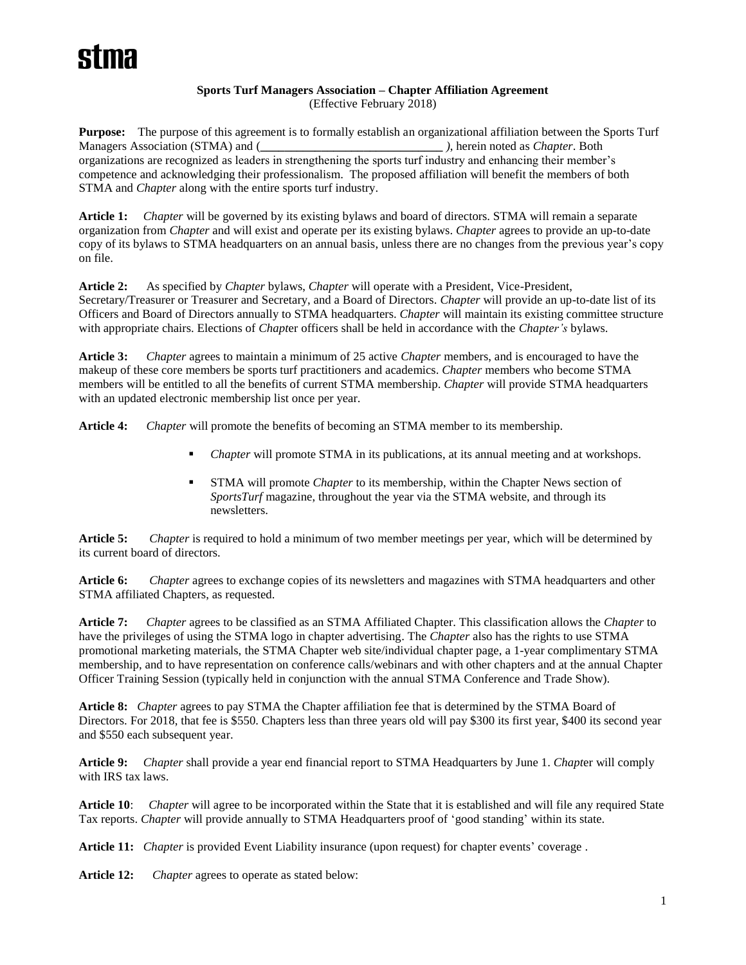# **Sports Turf Managers Association – Chapter Affiliation Agreement** (Effective February 2018)

**Purpose:** The purpose of this agreement is to formally establish an organizational affiliation between the Sports Turf Managers Association (STMA) and (**\_\_\_\_\_\_\_\_\_\_\_\_\_\_\_\_\_\_\_\_\_\_\_\_\_\_\_\_\_\_** *)*, herein noted as *Chapter*. Both organizations are recognized as leaders in strengthening the sports turf industry and enhancing their member's competence and acknowledging their professionalism. The proposed affiliation will benefit the members of both STMA and *Chapter* along with the entire sports turf industry.

**Article 1:** *Chapter* will be governed by its existing bylaws and board of directors. STMA will remain a separate organization from *Chapter* and will exist and operate per its existing bylaws. *Chapter* agrees to provide an up-to-date copy of its bylaws to STMA headquarters on an annual basis, unless there are no changes from the previous year's copy on file.

**Article 2:** As specified by *Chapter* bylaws, *Chapter* will operate with a President, Vice-President, Secretary/Treasurer or Treasurer and Secretary, and a Board of Directors. *Chapter* will provide an up-to-date list of its Officers and Board of Directors annually to STMA headquarters. *Chapter* will maintain its existing committee structure with appropriate chairs. Elections of *Chapt*er officers shall be held in accordance with the *Chapter's* bylaws.

**Article 3:** *Chapter* agrees to maintain a minimum of 25 active *Chapter* members, and is encouraged to have the makeup of these core members be sports turf practitioners and academics. *Chapter* members who become STMA members will be entitled to all the benefits of current STMA membership. *Chapter* will provide STMA headquarters with an updated electronic membership list once per year.

**Article 4:** *Chapter* will promote the benefits of becoming an STMA member to its membership.

- Chapter will promote STMA in its publications, at its annual meeting and at workshops.
- STMA will promote *Chapter* to its membership, within the Chapter News section of *SportsTurf* magazine, throughout the year via the STMA website, and through its newsletters.

**Article 5:** *Chapter* is required to hold a minimum of two member meetings per year, which will be determined by its current board of directors.

**Article 6:** *Chapter* agrees to exchange copies of its newsletters and magazines with STMA headquarters and other STMA affiliated Chapters, as requested.

**Article 7:** *Chapter* agrees to be classified as an STMA Affiliated Chapter. This classification allows the *Chapter* to have the privileges of using the STMA logo in chapter advertising. The *Chapter* also has the rights to use STMA promotional marketing materials, the STMA Chapter web site/individual chapter page, a 1-year complimentary STMA membership, and to have representation on conference calls/webinars and with other chapters and at the annual Chapter Officer Training Session (typically held in conjunction with the annual STMA Conference and Trade Show).

**Article 8:** *Chapter* agrees to pay STMA the Chapter affiliation fee that is determined by the STMA Board of Directors. For 2018, that fee is \$550. Chapters less than three years old will pay \$300 its first year, \$400 its second year and \$550 each subsequent year.

**Article 9:** *Chapter* shall provide a year end financial report to STMA Headquarters by June 1. *Chapt*er will comply with IRS tax laws.

**Article 10**: *Chapter* will agree to be incorporated within the State that it is established and will file any required State Tax reports. *Chapter* will provide annually to STMA Headquarters proof of 'good standing' within its state.

**Article 11:** *Chapter* is provided Event Liability insurance (upon request) for chapter events' coverage .

**Article 12:** *Chapter* agrees to operate as stated below: